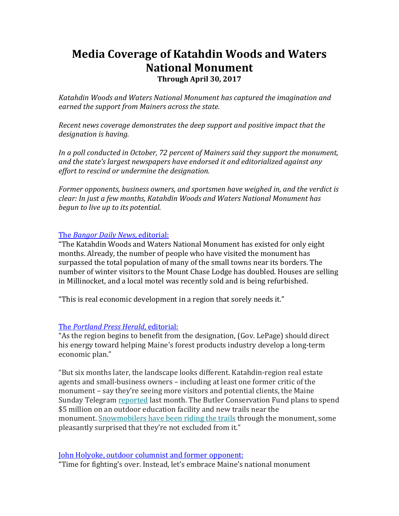# **Media Coverage of Katahdin Woods and Waters National Monument**

**Through April 30, 2017**

*Katahdin Woods and Waters National Monument has captured the imagination and earned the support from Mainers across the state.*

*Recent news coverage demonstrates the deep support and positive impact that the designation is having.*

*In a poll conducted in October, 72 percent of Mainers said they support the monument, and the state's largest newspapers have endorsed it and editorialized against any effort to rescind or undermine the designation.*

*Former opponents, business owners, and sportsmen have weighed in, and the verdict is clear: In just a few months, Katahdin Woods and Waters National Monument has begun to live up to its potential.*

The *[Bangor Daily News](http://bangordailynews.com/2017/04/28/opinion/editorials/lepages-continued-monument-opposition-jeopardizes-katahdin-regions-progress/)*, editorial:

"The Katahdin Woods and Waters National Monument has existed for only eight months. Already, the number of people who have visited the monument has surpassed the total population of many of the small towns near its borders. The number of winter visitors to the Mount Chase Lodge has doubled. Houses are selling in Millinocket, and a local motel was recently sold and is being refurbished.

"This is real economic development in a region that sorely needs it."

## The *[Portland Press Herald](http://www.pressherald.com/2017/02/24/our-view-gov-lepage-should-drop-effort-to-rescind-katahdin-woods-and-waters-national-monument/)*, editorial:

"As the region begins to benefit from the designation, (Gov. LePage) should direct his energy toward helping Maine's forest products industry develop a long-term economic plan."

"But six months later, the landscape looks different. Katahdin-region real estate agents and small-business owners – including at least one former critic of the monument – say they're seeing more visitors and potential clients, the Maine Sunday Telegram [reported](http://www.pressherald.com/2017/01/08/katahdin-area-monument-already-paying-small-dividends/) last month. The Butler Conservation Fund plans to spend \$5 million on an outdoor education facility and new trails near the monument. [Snowmobilers have been riding the trails](http://www.pressherald.com/2017/02/05/carefree-sledding-in-katahdin/) through the monument, some pleasantly surprised that they're not excluded from it."

## [John Holyoke, outdoor columnist and former opponent:](http://outthere.bangordailynews.com/2017/04/27/fishing/time-for-fightings-over-instead-lets-embrace-maines-national-monument/)

"Time for fighting's over. Instead, let's embrace Maine's national monument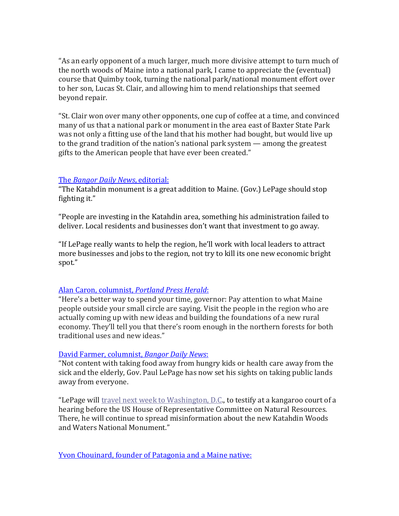"As an early opponent of a much larger, much more divisive attempt to turn much of the north woods of Maine into a national park, I came to appreciate the (eventual) course that Quimby took, turning the national park/national monument effort over to her son, Lucas St. Clair, and allowing him to mend relationships that seemed beyond repair.

"St. Clair won over many other opponents, one cup of coffee at a time, and convinced many of us that a national park or monument in the area east of Baxter State Park was not only a fitting use of the land that his mother had bought, but would live up to the grand tradition of the nation's national park system — among the greatest gifts to the American people that have ever been created."

## The *[Bangor Daily News](http://bangordailynews.com/2017/03/23/opinion/editorials/the-katahdin-monument-is-a-great-addition-to-maine-lepage-should-stop-fighting-it/)*, editorial:

"The Katahdin monument is a great addition to Maine. (Gov.) LePage should stop fighting it."

"People are investing in the Katahdin area, something his administration failed to deliver. Local residents and businesses don't want that investment to go away.

"If LePage really wants to help the region, he'll work with local leaders to attract more businesses and jobs to the region, not try to kill its one new economic bright spot."

## Alan Caron, columnist, *[Portland Press Herald](http://www.pressherald.com/2017/04/30/alan-caron-when-it-comes-to-our-national-monument-lepage-is-lost-in-the-woods/)*:

"Here's a better way to spend your time, governor: Pay attention to what Maine people outside your small circle are saying. Visit the people in the region who are actually coming up with new ideas and building the foundations of a new rural economy. They'll tell you that there's room enough in the northern forests for both traditional uses and new ideas."

## [David Farmer, columnist,](http://davidfarmer.bangordailynews.com/2017/04/26/republicans/lepage-tries-to-steal-your-land/) *Bangor Daily News*:

"Not content with taking food away from hungry kids or health care away from the sick and the elderly, Gov. Paul LePage has now set his sights on taking public lands away from everyone.

"LePage will [travel next week to Washington, D.C.](http://bangordailynews.com/2017/02/22/outdoors/lepage-to-trump-rescind-north-woods-national-monument/), to testify at a kangaroo court of a hearing before the US House of Representative Committee on Natural Resources. There, he will continue to spread misinformation about the new Katahdin Woods and Waters National Monument."

[Yvon Chouinard, founder of Patagonia and a Maine native:](http://www.latimes.com/opinion/op-ed/la-oe-chouinard-federal-lands-20170309-story.html)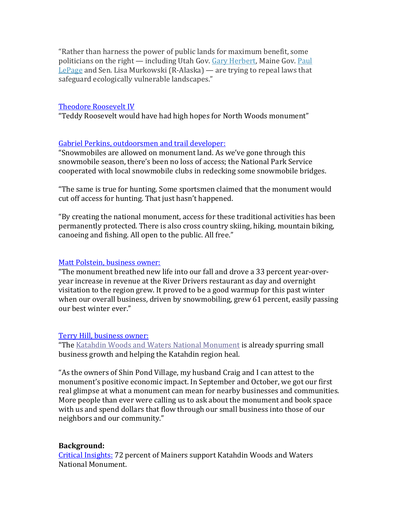"Rather than harness the power of public lands for maximum benefit, some politicians on the right — including Utah Gov. [Gary Herbert,](http://www.latimes.com/topic/politics-government/government/gary-herbert-PEPLT00007700-topic.html) Maine Gov. Paul [LePage](http://www.latimes.com/topic/politics-government/government/paul-lepage-PEPLT00007675-topic.html) and Sen. Lisa Murkowski (R-Alaska) — are trying to repeal laws that safeguard ecologically vulnerable landscapes."

#### [Theodore Roosevelt IV](http://bangordailynews.com/2017/04/11/opinion/contributors/teddy-roosevelt-would-have-had-high-hopes-for-north-woods-monument/?ref=mostReadBoxOpinion)

"Teddy Roosevelt would have had high hopes for North Woods monument"

#### [Gabriel Perkins, outdoorsmen and trail developer:](http://www.sunjournal.com/news/columns-analysis/2017/04/16/katahdin-national-monument-outstanding-gift/2111204)

"Snowmobiles are allowed on monument land. As we've gone through this snowmobile season, there's been no loss of access; the National Park Service cooperated with local snowmobile clubs in redecking some snowmobile bridges.

"The same is true for hunting. Some sportsmen claimed that the monument would cut off access for hunting. That just hasn't happened.

"By creating the national monument, access for these traditional activities has been permanently protected. There is also cross country skiing, hiking, mountain biking, canoeing and fishing. All open to the public. All free."

#### [Matt Polstein, business owner:](http://bangordailynews.com/2017/04/29/opinion/my-katahdin-area-business-is-booming-thanks-to-maines-new-national-monument/)

"The monument breathed new life into our fall and drove a 33 percent year-overyear increase in revenue at the River Drivers restaurant as day and overnight visitation to the region grew. It proved to be a good warmup for this past winter when our overall business, driven by snowmobiling, grew 61 percent, easily passing our best winter ever."

#### [Terry Hill, business owner:](https://bangordailynews.com/2017/02/12/opinion/contributors/the-katahdin-monument-has-already-created-opportunities-for-my-small-business/?ref=moreInopinion)

"The [Katahdin Woods and Waters National Monument](https://www.google.com/url?q=https://www.nps.gov/kaww/&sa=D&ust=1486742341351000&usg=AFQjCNHs6Ed4iFsObBYKXpI0-_3HItsnVw) is already spurring small business growth and helping the Katahdin region heal.

"As the owners of Shin Pond Village, my husband Craig and I can attest to the monument's positive economic impact. In September and October, we got our first real glimpse at what a monument can mean for nearby businesses and communities. More people than ever were calling us to ask about the monument and book space with us and spend dollars that flow through our small business into those of our neighbors and our community."

## **Background:**

[Critical Insights:](http://www.nrcm.org/wp-content/uploads/2016/10/CriticalInsightsFall2016Survey-1.pdf) 72 percent of Mainers support Katahdin Woods and Waters National Monument.